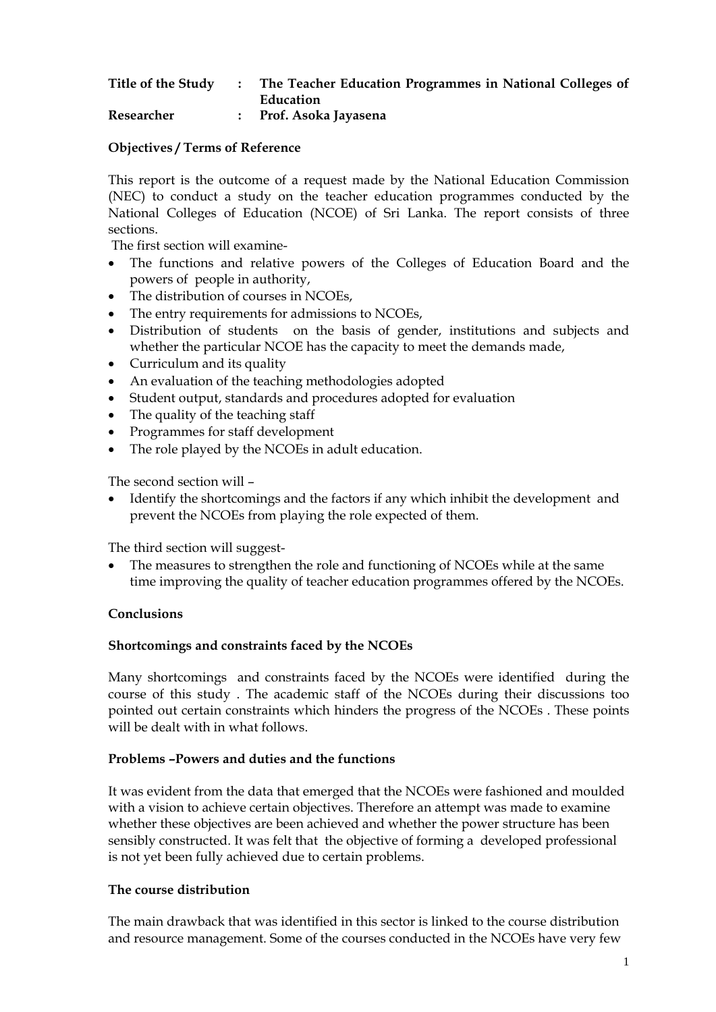#### **Title of the Study : The Teacher Education Programmes in National Colleges of Education Researcher : Prof. Asoka Jayasena**

**Objectives / Terms of Reference** 

This report is the outcome of a request made by the National Education Commission (NEC) to conduct a study on the teacher education programmes conducted by the National Colleges of Education (NCOE) of Sri Lanka. The report consists of three sections.

The first section will examine-

- The functions and relative powers of the Colleges of Education Board and the powers of people in authority,
- The distribution of courses in NCOEs,
- The entry requirements for admissions to NCOEs,
- Distribution of students on the basis of gender, institutions and subjects and whether the particular NCOE has the capacity to meet the demands made,
- Curriculum and its quality
- An evaluation of the teaching methodologies adopted
- Student output, standards and procedures adopted for evaluation
- The quality of the teaching staff
- Programmes for staff development
- The role played by the NCOEs in adult education.

The second section will –

• Identify the shortcomings and the factors if any which inhibit the development and prevent the NCOEs from playing the role expected of them.

The third section will suggest-

The measures to strengthen the role and functioning of NCOEs while at the same time improving the quality of teacher education programmes offered by the NCOEs.

# **Conclusions**

# **Shortcomings and constraints faced by the NCOEs**

Many shortcomings and constraints faced by the NCOEs were identified during the course of this study . The academic staff of the NCOEs during their discussions too pointed out certain constraints which hinders the progress of the NCOEs . These points will be dealt with in what follows.

#### **Problems –Powers and duties and the functions**

It was evident from the data that emerged that the NCOEs were fashioned and moulded with a vision to achieve certain objectives. Therefore an attempt was made to examine whether these objectives are been achieved and whether the power structure has been sensibly constructed. It was felt that the objective of forming a developed professional is not yet been fully achieved due to certain problems.

# **The course distribution**

The main drawback that was identified in this sector is linked to the course distribution and resource management. Some of the courses conducted in the NCOEs have very few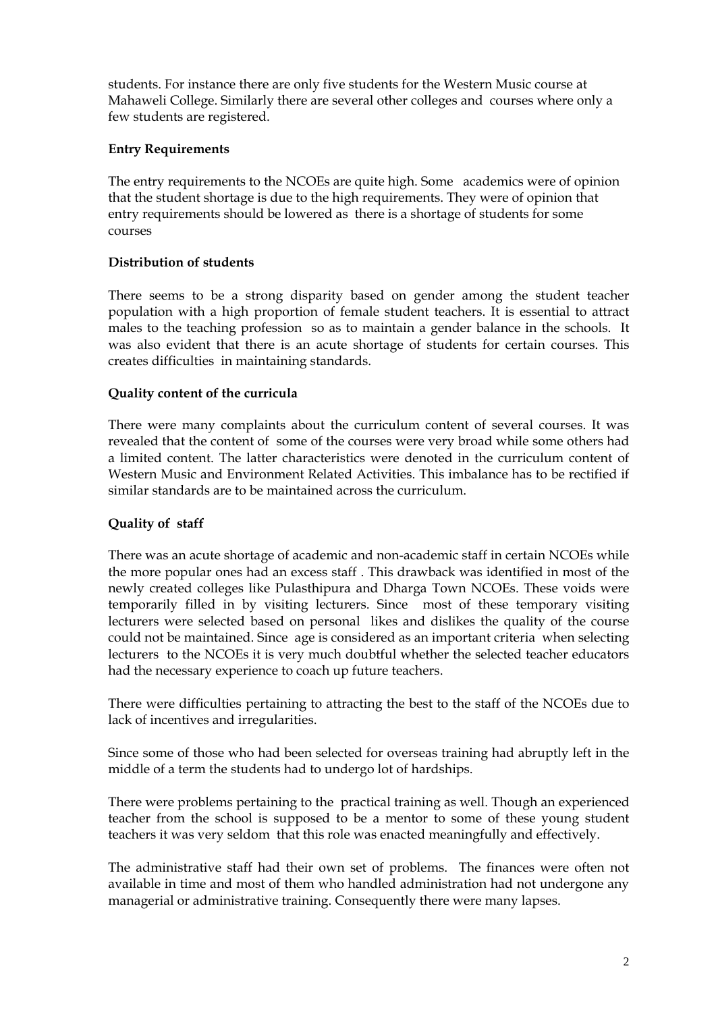students. For instance there are only five students for the Western Music course at Mahaweli College. Similarly there are several other colleges and courses where only a few students are registered.

## **Entry Requirements**

The entry requirements to the NCOEs are quite high. Some academics were of opinion that the student shortage is due to the high requirements. They were of opinion that entry requirements should be lowered as there is a shortage of students for some courses

## **Distribution of students**

There seems to be a strong disparity based on gender among the student teacher population with a high proportion of female student teachers. It is essential to attract males to the teaching profession so as to maintain a gender balance in the schools. It was also evident that there is an acute shortage of students for certain courses. This creates difficulties in maintaining standards.

## **Quality content of the curricula**

There were many complaints about the curriculum content of several courses. It was revealed that the content of some of the courses were very broad while some others had a limited content. The latter characteristics were denoted in the curriculum content of Western Music and Environment Related Activities. This imbalance has to be rectified if similar standards are to be maintained across the curriculum.

# **Quality of staff**

There was an acute shortage of academic and non-academic staff in certain NCOEs while the more popular ones had an excess staff . This drawback was identified in most of the newly created colleges like Pulasthipura and Dharga Town NCOEs. These voids were temporarily filled in by visiting lecturers. Since most of these temporary visiting lecturers were selected based on personal likes and dislikes the quality of the course could not be maintained. Since age is considered as an important criteria when selecting lecturers to the NCOEs it is very much doubtful whether the selected teacher educators had the necessary experience to coach up future teachers.

There were difficulties pertaining to attracting the best to the staff of the NCOEs due to lack of incentives and irregularities.

Since some of those who had been selected for overseas training had abruptly left in the middle of a term the students had to undergo lot of hardships.

There were problems pertaining to the practical training as well. Though an experienced teacher from the school is supposed to be a mentor to some of these young student teachers it was very seldom that this role was enacted meaningfully and effectively.

The administrative staff had their own set of problems. The finances were often not available in time and most of them who handled administration had not undergone any managerial or administrative training. Consequently there were many lapses.